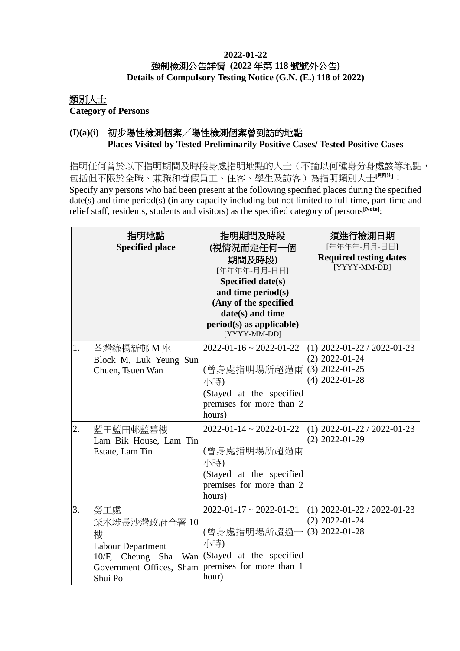#### **2022-01-22** 強制檢測公告詳情 **(2022** 年第 **118** 號號外公告**) Details of Compulsory Testing Notice (G.N. (E.) 118 of 2022)**

### 類別人士 **Category of Persons**

### **(I)(a)(i)** 初步陽性檢測個案╱陽性檢測個案曾到訪的地點 **Places Visited by Tested Preliminarily Positive Cases/ Tested Positive Cases**

指明任何曾於以下指明期間及時段身處指明地點的人士(不論以何種身分身處該等地點, 包括但不限於全職、兼職和替假員工、住客、學生及訪客)為指明類別人士**[**見附註**]**: Specify any persons who had been present at the following specified places during the specified date(s) and time period(s) (in any capacity including but not limited to full-time, part-time and relief staff, residents, students and visitors) as the specified category of persons**[Note]**:

|    | 指明地點<br><b>Specified place</b>                                                                                   | 指明期間及時段<br>(視情況而定任何一個<br>期間及時段)<br>[年年年年-月月-日日]<br>Specified date(s)<br>and time period(s)<br>(Any of the specified<br>date(s) and time<br>$period(s)$ as applicable)<br>[YYYY-MM-DD] | 須進行檢測日期<br>[年年年年-月月-日日]<br><b>Required testing dates</b><br>[YYYY-MM-DD]                  |
|----|------------------------------------------------------------------------------------------------------------------|---------------------------------------------------------------------------------------------------------------------------------------------------------------------------------------|-------------------------------------------------------------------------------------------|
| 1. | 荃灣綠楊新邨 M 座<br>Block M, Luk Yeung Sun<br>Chuen, Tsuen Wan                                                         | $2022 - 01 - 16 \approx 2022 - 01 - 22$<br>(曾身處指明場所超過兩<br>小時)<br>(Stayed at the specified<br>premises for more than 2<br>hours)                                                       | $(1)$ 2022-01-22 / 2022-01-23<br>$(2)$ 2022-01-24<br>$(3)$ 2022-01-25<br>$(4)$ 2022-01-28 |
| 2. | 藍田藍田邨藍碧樓<br>Lam Bik House, Lam Tin<br>Estate, Lam Tin                                                            | $2022 - 01 - 14 \approx 2022 - 01 - 22$<br>(曾身處指明場所超過兩<br>小時)<br>(Stayed at the specified<br>premises for more than 2<br>hours)                                                       | $(1)$ 2022-01-22 / 2022-01-23<br>$(2)$ 2022-01-29                                         |
| 3. | 勞工處<br>深水埗長沙灣政府合署 10<br>樓<br>Labour Department<br>10/F, Cheung Sha<br>Wan<br>Government Offices, Sham<br>Shui Po | $2022 - 01 - 17 \approx 2022 - 01 - 21$<br>(曾身處指明場所超過-<br>小時)<br>(Stayed at the specified<br>premises for more than 1<br>hour)                                                        | $(1)$ 2022-01-22 / 2022-01-23<br>$(2)$ 2022-01-24<br>$(3)$ 2022-01-28                     |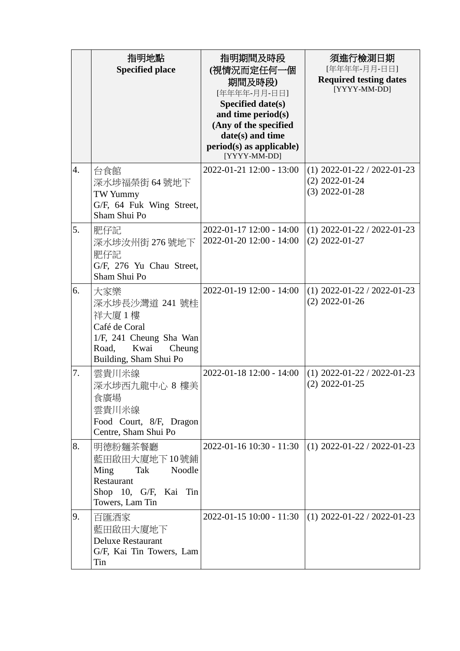|    | 指明地點<br><b>Specified place</b>                                                                                                  | 指明期間及時段<br>(視情況而定任何一個<br>期間及時段)<br>[年年年年-月月-日日]<br>Specified date(s)<br>and time period(s)<br>(Any of the specified<br>date(s) and time<br>$period(s)$ as applicable)<br>[YYYY-MM-DD] | 須進行檢測日期<br>[年年年年-月月-日日]<br><b>Required testing dates</b><br>[YYYY-MM-DD] |
|----|---------------------------------------------------------------------------------------------------------------------------------|---------------------------------------------------------------------------------------------------------------------------------------------------------------------------------------|--------------------------------------------------------------------------|
| 4. | 台食館<br>深水埗福榮街 64 號地下<br>TW Yummy<br>G/F, 64 Fuk Wing Street,<br>Sham Shui Po                                                    | 2022-01-21 12:00 - 13:00                                                                                                                                                              | $(1)$ 2022-01-22 / 2022-01-23<br>$(2)$ 2022-01-24<br>$(3)$ 2022-01-28    |
| 5. | 肥仔記<br>深水埗汝州街 276號地下<br>肥仔記<br>G/F, 276 Yu Chau Street,<br>Sham Shui Po                                                         | 2022-01-17 12:00 - 14:00<br>2022-01-20 12:00 - 14:00                                                                                                                                  | $(1)$ 2022-01-22 / 2022-01-23<br>$(2)$ 2022-01-27                        |
| 6. | 大家樂<br>深水埗長沙灣道 241 號桂<br>祥大廈1樓<br>Café de Coral<br>1/F, 241 Cheung Sha Wan<br>Road,<br>Kwai<br>Cheung<br>Building, Sham Shui Po | 2022-01-19 12:00 - 14:00                                                                                                                                                              | $(1)$ 2022-01-22 / 2022-01-23<br>$(2)$ 2022-01-26                        |
| 7. | 雲貴川米線<br>深水埗西九龍中心 8 樓美<br>食廣場<br>雲貴川米線<br>Food Court, 8/F, Dragon<br>Centre, Sham Shui Po                                       | 2022-01-18 12:00 - 14:00                                                                                                                                                              | $(1)$ 2022-01-22 / 2022-01-23<br>$(2)$ 2022-01-25                        |
| 8. | 明德粉麵茶餐廳<br>藍田啟田大廈地下10號鋪<br>Ming<br>Tak<br>Noodle<br>Restaurant<br>Shop 10, G/F, Kai<br>Tin<br>Towers, Lam Tin                   | 2022-01-16 10:30 - 11:30                                                                                                                                                              | $(1)$ 2022-01-22 / 2022-01-23                                            |
| 9. | 百匯酒家<br>藍田啟田大廈地下<br><b>Deluxe Restaurant</b><br>G/F, Kai Tin Towers, Lam<br>Tin                                                 | 2022-01-15 10:00 - 11:30                                                                                                                                                              | $(1)$ 2022-01-22 / 2022-01-23                                            |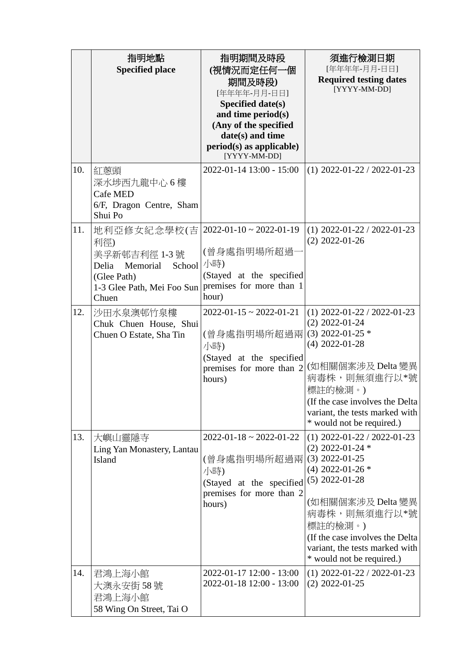|     | 指明地點<br><b>Specified place</b>                                                                                          | 指明期間及時段<br>(視情況而定任何一個<br>期間及時段)<br>[年年年年-月月-日日]<br>Specified date(s)<br>and time period(s)<br>(Any of the specified<br>date(s) and time<br>$period(s)$ as applicable)<br>[YYYY-MM-DD] | 須進行檢測日期<br>[年年年年-月月-日日]<br><b>Required testing dates</b><br>[YYYY-MM-DD]                                                                                                                                                                                                |
|-----|-------------------------------------------------------------------------------------------------------------------------|---------------------------------------------------------------------------------------------------------------------------------------------------------------------------------------|-------------------------------------------------------------------------------------------------------------------------------------------------------------------------------------------------------------------------------------------------------------------------|
| 10. | 紅蔥頭<br>深水埗西九龍中心6樓<br>Cafe MED<br>6/F, Dragon Centre, Sham<br>Shui Po                                                    | 2022-01-14 13:00 - 15:00                                                                                                                                                              | $(1)$ 2022-01-22 / 2022-01-23                                                                                                                                                                                                                                           |
| 11. | 地利亞修女紀念學校(吉<br>利徑)<br>美孚新邨吉利徑 1-3號<br>Memorial<br>School<br>Delia<br>(Glee Path)<br>1-3 Glee Path, Mei Foo Sun<br>Chuen | $2022 - 01 - 10 \approx 2022 - 01 - 19$<br>(曾身處指明場所超過-<br>小時)<br>(Stayed at the specified<br>premises for more than 1<br>hour)                                                        | $(1)$ 2022-01-22 / 2022-01-23<br>$(2)$ 2022-01-26                                                                                                                                                                                                                       |
| 12. | 沙田水泉澳邨竹泉樓<br>Chuk Chuen House, Shui<br>Chuen O Estate, Sha Tin                                                          | $2022 - 01 - 15 \approx 2022 - 01 - 21$<br>(曾身處指明場所超過兩<br>小時)<br>(Stayed at the specified<br>premises for more than 2<br>hours)                                                       | $(1)$ 2022-01-22 / 2022-01-23<br>$(2)$ 2022-01-24<br>$(3)$ 2022-01-25 $*$<br>$(4)$ 2022-01-28<br>(如相關個案涉及 Delta 變異<br>病毒株,則無須進行以*號<br>標註的檢測。)<br>(If the case involves the Delta)<br>variant, the tests marked with<br>* would not be required.)                        |
| 13. | 大嶼山靈隱寺<br>Ling Yan Monastery, Lantau<br><b>Island</b>                                                                   | $2022 - 01 - 18 \approx 2022 - 01 - 22$<br>(曾身處指明場所超過兩<br>小時)<br>(Stayed at the specified<br>premises for more than 2<br>hours)                                                       | $(1)$ 2022-01-22 / 2022-01-23<br>$(2)$ 2022-01-24 $*$<br>$(3)$ 2022-01-25<br>$(4)$ 2022-01-26 $*$<br>$(5)$ 2022-01-28<br>(如相關個案涉及 Delta 變異<br>病毒株,則無須進行以*號<br>標註的檢測。)<br>(If the case involves the Delta<br>variant, the tests marked with<br>* would not be required.) |
| 14. | 君鴻上海小館<br>大澳永安街 58 號<br>君鴻上海小館<br>58 Wing On Street, Tai O                                                              | 2022-01-17 12:00 - 13:00<br>2022-01-18 12:00 - 13:00                                                                                                                                  | $(1)$ 2022-01-22 / 2022-01-23<br>$(2)$ 2022-01-25                                                                                                                                                                                                                       |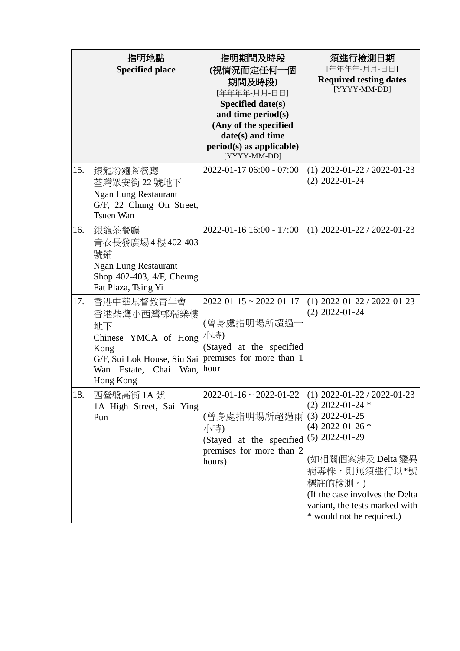|     | 指明地點<br><b>Specified place</b>                                                                                                       | 指明期間及時段<br>(視情況而定任何一個<br>期間及時段)<br>[年年年年-月月-日日]<br><b>Specified date(s)</b><br>and time period(s)<br>(Any of the specified<br>date(s) and time<br>$period(s)$ as applicable)<br>[YYYY-MM-DD] | 須進行檢測日期<br>[年年年年-月月-日日]<br><b>Required testing dates</b><br>[YYYY-MM-DD]                                                                                                                                                                                                                                                |
|-----|--------------------------------------------------------------------------------------------------------------------------------------|----------------------------------------------------------------------------------------------------------------------------------------------------------------------------------------------|-------------------------------------------------------------------------------------------------------------------------------------------------------------------------------------------------------------------------------------------------------------------------------------------------------------------------|
| 15. | 銀龍粉麵茶餐廳<br>荃灣眾安街 22 號地下<br><b>Ngan Lung Restaurant</b><br>G/F, 22 Chung On Street,<br>Tsuen Wan                                      | 2022-01-17 06:00 - 07:00                                                                                                                                                                     | $(1)$ 2022-01-22 / 2022-01-23<br>$(2)$ 2022-01-24                                                                                                                                                                                                                                                                       |
| 16. | 銀龍茶餐廳<br>青衣長發廣場4樓402-403<br>號鋪<br><b>Ngan Lung Restaurant</b><br>Shop 402-403, 4/F, Cheung<br>Fat Plaza, Tsing Yi                    | 2022-01-16 16:00 - 17:00                                                                                                                                                                     | $(1)$ 2022-01-22 / 2022-01-23                                                                                                                                                                                                                                                                                           |
| 17. | 香港中華基督教青年會<br>香港柴灣小西灣邨瑞樂樓<br>地下<br>Chinese YMCA of Hong<br>Kong<br>G/F, Sui Lok House, Siu Sai<br>Wan Estate, Chai Wan,<br>Hong Kong | $2022 - 01 - 15 \approx 2022 - 01 - 17$<br>(曾身處指明場所超過·<br>小時)<br>(Stayed at the specified<br>premises for more than 1<br>hour                                                                | $(1)$ 2022-01-22 / 2022-01-23<br>$(2)$ 2022-01-24                                                                                                                                                                                                                                                                       |
| 18. | 西營盤高街 1A號<br>1A High Street, Sai Ying<br>Pun                                                                                         | (曾身處指明場所超過兩)<br>小時)<br>(Stayed at the specified<br>premises for more than 2<br>hours)                                                                                                        | $2022 - 01 - 16 \approx 2022 - 01 - 22$ (1) $2022 - 01 - 22 / 2022 - 01 - 23$<br>$(2)$ 2022-01-24 $*$<br>$(3)$ 2022-01-25<br>$(4)$ 2022-01-26 $*$<br>$(5)$ 2022-01-29<br>(如相關個案涉及 Delta 變異<br>病毒株,則無須進行以*號<br>標註的檢測。)<br>(If the case involves the Delta<br>variant, the tests marked with<br>* would not be required.) |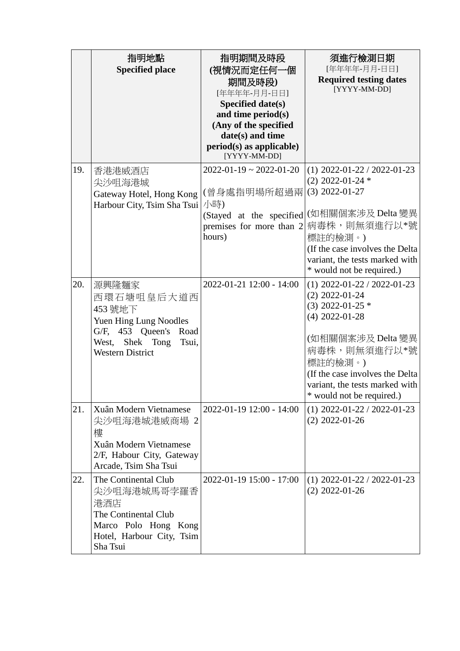|     | 指明地點<br><b>Specified place</b>                                                                                                           | 指明期間及時段<br>(視情況而定任何一個<br>期間及時段)<br>[年年年年-月月-日日]<br>Specified date(s)<br>and time period(s)<br>(Any of the specified<br>date(s) and time<br>$period(s)$ as applicable)<br>[YYYY-MM-DD] | 須進行檢測日期<br>[年年年年-月月-日日]<br><b>Required testing dates</b><br>[YYYY-MM-DD]                                                                                                                                                                        |
|-----|------------------------------------------------------------------------------------------------------------------------------------------|---------------------------------------------------------------------------------------------------------------------------------------------------------------------------------------|-------------------------------------------------------------------------------------------------------------------------------------------------------------------------------------------------------------------------------------------------|
| 19. | 香港港威酒店<br>尖沙咀海港城<br>Gateway Hotel, Hong Kong<br>Harbour City, Tsim Sha Tsui                                                              | $2022 - 01 - 19 \approx 2022 - 01 - 20$<br>(曾身處指明場所超過兩<br>小時)<br>(Stayed at the specified<br>premises for more than 2<br>hours)                                                       | $(1)$ 2022-01-22 / 2022-01-23<br>$(2)$ 2022-01-24 $*$<br>$(3)$ 2022-01-27<br>(如相關個案涉及 Delta 變異<br>病毒株,則無須進行以*號<br>標註的檢測。)<br>(If the case involves the Delta<br>variant, the tests marked with<br>* would not be required.)                     |
| 20. | 源興隆麵家<br>西環石塘咀皇后大道西<br>453 號地下<br>Yuen Hing Lung Noodles<br>G/F, 453 Queen's Road<br>West, Shek Tong<br>Tsui,<br><b>Western District</b> | 2022-01-21 12:00 - 14:00                                                                                                                                                              | $(1)$ 2022-01-22 / 2022-01-23<br>$(2)$ 2022-01-24<br>$(3)$ 2022-01-25 $*$<br>$(4)$ 2022-01-28<br>(如相關個案涉及 Delta 變異<br>病毒株,則無須進行以*號<br>標註的檢測。)<br>(If the case involves the Delta<br>variant, the tests marked with<br>* would not be required.) |
| 21. | Xuân Modern Vietnamese<br>尖沙咀海港城港威商場 2<br>樓<br>Xuân Modern Vietnamese<br>2/F, Habour City, Gateway<br>Arcade, Tsim Sha Tsui              | 2022-01-19 12:00 - 14:00                                                                                                                                                              | $(1)$ 2022-01-22 / 2022-01-23<br>$(2)$ 2022-01-26                                                                                                                                                                                               |
| 22. | The Continental Club<br>尖沙咀海港城馬哥孛羅香<br>港酒店<br>The Continental Club<br>Marco Polo Hong Kong<br>Hotel, Harbour City, Tsim<br>Sha Tsui      | 2022-01-19 15:00 - 17:00                                                                                                                                                              | $(1)$ 2022-01-22 / 2022-01-23<br>$(2)$ 2022-01-26                                                                                                                                                                                               |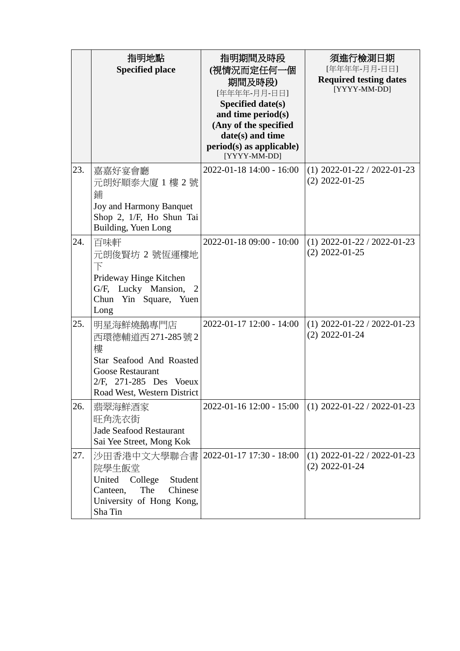|     | 指明地點<br><b>Specified place</b>                                                                                                                     | 指明期間及時段<br>(視情況而定任何一個<br>期間及時段)<br>[年年年年-月月-日日]<br><b>Specified date(s)</b><br>and time period(s)<br>(Any of the specified<br>date(s) and time<br>$period(s)$ as applicable)<br>[YYYY-MM-DD] | 須進行檢測日期<br>[年年年年-月月-日日]<br><b>Required testing dates</b><br>[YYYY-MM-DD] |
|-----|----------------------------------------------------------------------------------------------------------------------------------------------------|----------------------------------------------------------------------------------------------------------------------------------------------------------------------------------------------|--------------------------------------------------------------------------|
| 23. | 嘉嘉好宴會廳<br>元朗好順泰大廈 1 樓 2 號<br>鋪<br>Joy and Harmony Banquet<br>Shop 2, 1/F, Ho Shun Tai<br>Building, Yuen Long                                       | 2022-01-18 14:00 - 16:00                                                                                                                                                                     | $(1)$ 2022-01-22 / 2022-01-23<br>$(2)$ 2022-01-25                        |
| 24. | 百味軒<br>元朗俊賢坊 2 號恆運樓地<br>$\top$<br>Prideway Hinge Kitchen<br>G/F, Lucky Mansion,<br>$\overline{2}$<br>Chun Yin Square, Yuen<br>Long                 | 2022-01-18 09:00 - 10:00                                                                                                                                                                     | $(1)$ 2022-01-22 / 2022-01-23<br>$(2)$ 2022-01-25                        |
| 25. | 明星海鮮燒鵝專門店<br>西環德輔道西 271-285號2<br>樓<br>Star Seafood And Roasted<br><b>Goose Restaurant</b><br>2/F, 271-285 Des Voeux<br>Road West, Western District | 2022-01-17 12:00 - 14:00                                                                                                                                                                     | $(1)$ 2022-01-22 / 2022-01-23<br>$(2)$ 2022-01-24                        |
| 26. | 翡翠海鮮酒家<br>旺角洗衣街<br><b>Jade Seafood Restaurant</b><br>Sai Yee Street, Mong Kok                                                                      | 2022-01-16 12:00 - 15:00                                                                                                                                                                     | $(1)$ 2022-01-22 / 2022-01-23                                            |
| 27. | 沙田香港中文大學聯合書<br>院學生飯堂<br>United College<br>Student<br>The<br>Chinese<br>Canteen,<br>University of Hong Kong,<br>Sha Tin                             | 2022-01-17 17:30 - 18:00                                                                                                                                                                     | $(1)$ 2022-01-22 / 2022-01-23<br>$(2)$ 2022-01-24                        |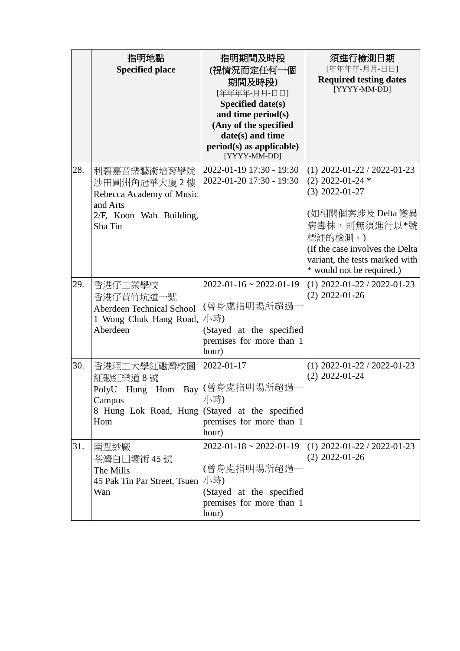|     | 指明地點<br><b>Specified place</b>                                                                           | 指明期間及時段<br>(視情況而定任何一個<br>期間及時段)<br>[年年年年-月月-日日]<br>Specified date(s)<br>and time period(s)<br>(Any of the specified<br>date(s) and time<br>$period(s)$ as applicable)<br>[YYYY-MM-DD] | 須進行檢測日期<br>[年年年年-月月-日日]<br><b>Required testing dates</b><br>[YYYY-MM-DD]                                                                                                                                                    |
|-----|----------------------------------------------------------------------------------------------------------|---------------------------------------------------------------------------------------------------------------------------------------------------------------------------------------|-----------------------------------------------------------------------------------------------------------------------------------------------------------------------------------------------------------------------------|
| 28. | 利碧嘉音樂藝術培育學院<br>沙田圓州角冠華大廈2樓<br>Rebecca Academy of Music<br>and Arts<br>2/F, Koon Wah Building,<br>Sha Tin | 2022-01-19 17:30 - 19:30<br>2022-01-20 17:30 - 19:30                                                                                                                                  | $(1)$ 2022-01-22 / 2022-01-23<br>$(2)$ 2022-01-24 $*$<br>$(3)$ 2022-01-27<br>(如相關個案涉及 Delta 變異<br>病毒株,則無須進行以*號<br>標註的檢測。)<br>(If the case involves the Delta<br>variant, the tests marked with<br>* would not be required.) |
| 29. | 香港仔工業學校<br>香港仔黄竹坑道一號<br>Aberdeen Technical School<br>1 Wong Chuk Hang Road,<br>Aberdeen                  | $2022 - 01 - 16 \approx 2022 - 01 - 19$<br>(曾身處指明場所超過<br>小時)<br>(Stayed at the specified<br>premises for more than 1<br>hour)                                                         | $(1)$ 2022-01-22 / 2022-01-23<br>$(2)$ 2022-01-26                                                                                                                                                                           |
| 30. | 香港理工大學紅磡灣校園<br>紅磡紅樂道8號<br>PolyU Hung Hom Bay (曾身處指明場所超過<br>Campus<br>8 Hung Lok Road, Hung<br>Hom        | 2022-01-17<br>小時)<br>(Stayed at the specified<br>premises for more than 1<br>hour)                                                                                                    | $(1)$ 2022-01-22 / 2022-01-23<br>$(2)$ 2022-01-24                                                                                                                                                                           |
| 31. | 南豐紗廠<br>荃灣白田壩街 45 號<br>The Mills<br>45 Pak Tin Par Street, Tsuen<br>Wan                                  | $2022 - 01 - 18 \approx 2022 - 01 - 19$<br>(曾身處指明場所超過-<br>小時)<br>(Stayed at the specified<br>premises for more than 1<br>hour)                                                        | $(1)$ 2022-01-22 / 2022-01-23<br>$(2)$ 2022-01-26                                                                                                                                                                           |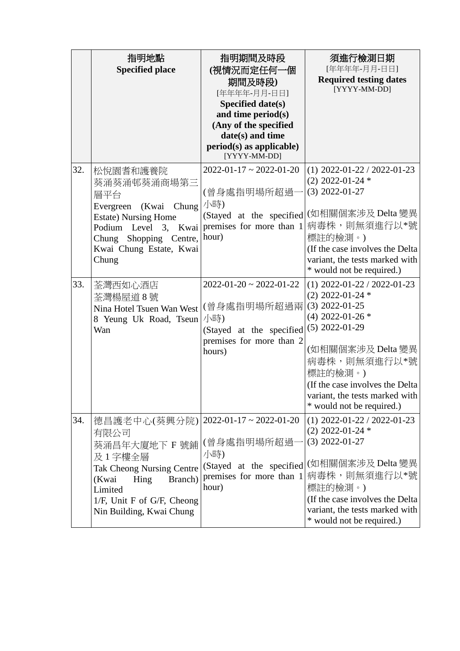|     | 指明地點<br><b>Specified place</b>                                                                                                                                                                                        | 指明期間及時段<br>(視情況而定任何一個<br>期間及時段)<br>[年年年年-月月-日日]<br><b>Specified date(s)</b><br>and time period(s)<br>(Any of the specified<br>date(s) and time<br>$period(s)$ as applicable)<br>[YYYY-MM-DD] | 須進行檢測日期<br>[年年年年-月月-日日]<br><b>Required testing dates</b><br>[YYYY-MM-DD]                                                                                                                                                                                                |
|-----|-----------------------------------------------------------------------------------------------------------------------------------------------------------------------------------------------------------------------|----------------------------------------------------------------------------------------------------------------------------------------------------------------------------------------------|-------------------------------------------------------------------------------------------------------------------------------------------------------------------------------------------------------------------------------------------------------------------------|
| 32. | 松悅園耆和護養院<br>葵涌葵涌邨葵涌商場第三<br>層平台<br>Chung /小時)<br>Evergreen (Kwai<br><b>Estate)</b> Nursing Home<br>Podium Level 3, Kwai   premises for more than 1<br>Chung Shopping Centre, hour)<br>Kwai Chung Estate, Kwai<br>Chung | $2022 - 01 - 17 \approx 2022 - 01 - 20$<br>(曾身處指明場所超過一<br>(Stayed at the specified                                                                                                           | $(1)$ 2022-01-22 / 2022-01-23<br>$(2)$ 2022-01-24 $*$<br>$(3)$ 2022-01-27<br>(如相關個案涉及 Delta 變異<br>病毒株,則無須進行以*號<br>標註的檢測。)<br>(If the case involves the Delta<br>variant, the tests marked with<br>* would not be required.)                                             |
| 33. | 荃灣西如心酒店<br>荃灣楊屋道8號<br>Nina Hotel Tsuen Wan West (曾身處指明場所超過兩<br>8 Yeung Uk Road, Tseun<br>Wan                                                                                                                          | $2022 - 01 - 20 \sim 2022 - 01 - 22$<br>小時)<br>(Stayed at the specified<br>premises for more than 2<br>hours)                                                                                | $(1)$ 2022-01-22 / 2022-01-23<br>$(2)$ 2022-01-24 $*$<br>$(3)$ 2022-01-25<br>$(4)$ 2022-01-26 $*$<br>$(5)$ 2022-01-29<br>(如相關個案涉及 Delta 變異<br>病毒株,則無須進行以*號<br>標註的檢測。)<br>(If the case involves the Delta<br>variant, the tests marked with<br>* would not be required.) |
| 34. | 德昌護老中心(葵興分院)<br>有限公司<br>葵涌昌年大廈地下 F 號鋪   (曾身處指明場所超過-<br>及1字樓全層<br><b>Tak Cheong Nursing Centre</b><br>(Kwai<br>Hing<br>Branch)<br>Limited<br>1/F, Unit F of G/F, Cheong<br>Nin Building, Kwai Chung                    | $ 2022-01-17  \sim 2022-01-20$<br>小時)<br>(Stayed at the specified<br>premises for more than 1<br>hour)                                                                                       | $(1)$ 2022-01-22 / 2022-01-23<br>$(2)$ 2022-01-24 $*$<br>$(3)$ 2022-01-27<br>(如相關個案涉及 Delta 變異<br>病毒株,則無須進行以*號<br>標註的檢測。)<br>(If the case involves the Delta<br>variant, the tests marked with<br>* would not be required.)                                             |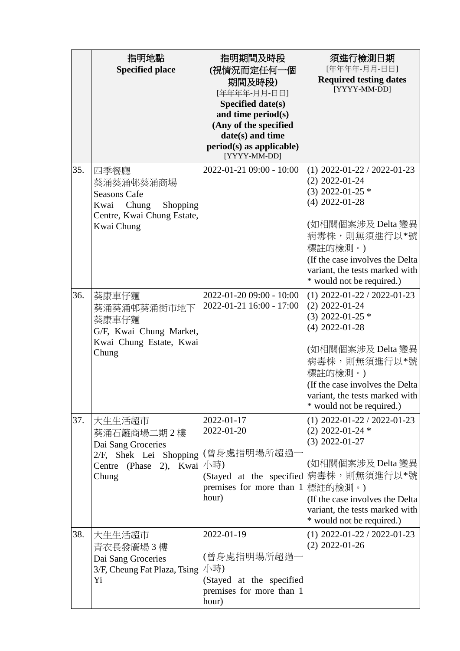|     | 指明地點<br><b>Specified place</b>                                                                                    | 指明期間及時段<br>(視情況而定任何一個<br>期間及時段)<br>[年年年年-月月-日日]<br>Specified date(s)<br>and time period(s)<br>(Any of the specified<br>date(s) and time<br>$period(s)$ as applicable)<br>[YYYY-MM-DD] | 須進行檢測日期<br>[年年年年-月月-日日]<br><b>Required testing dates</b><br>[YYYY-MM-DD]                                                                                                                                                                        |
|-----|-------------------------------------------------------------------------------------------------------------------|---------------------------------------------------------------------------------------------------------------------------------------------------------------------------------------|-------------------------------------------------------------------------------------------------------------------------------------------------------------------------------------------------------------------------------------------------|
| 35. | 四季餐廳<br>葵涌葵涌邨葵涌商場<br><b>Seasons Cafe</b><br>Chung<br>Shopping<br>Kwai<br>Centre, Kwai Chung Estate,<br>Kwai Chung | 2022-01-21 09:00 - 10:00                                                                                                                                                              | $(1)$ 2022-01-22 / 2022-01-23<br>$(2)$ 2022-01-24<br>$(3)$ 2022-01-25 $*$<br>$(4)$ 2022-01-28<br>(如相關個案涉及 Delta 變異<br>病毒株,則無須進行以*號<br>標註的檢測。)<br>(If the case involves the Delta<br>variant, the tests marked with<br>* would not be required.) |
| 36. | 葵康車仔麵<br>葵涌葵涌邨葵涌街市地下<br>葵康車仔麵<br>G/F, Kwai Chung Market,<br>Kwai Chung Estate, Kwai<br>Chung                      | 2022-01-20 09:00 - 10:00<br>2022-01-21 16:00 - 17:00                                                                                                                                  | $(1)$ 2022-01-22 / 2022-01-23<br>$(2)$ 2022-01-24<br>$(3)$ 2022-01-25 $*$<br>$(4)$ 2022-01-28<br>(如相關個案涉及 Delta 變異<br>病毒株,則無須進行以*號<br>標註的檢測。)<br>(If the case involves the Delta<br>variant, the tests marked with<br>* would not be required.) |
| 37. | 大生生活超市<br>葵涌石籬商場二期2樓<br>Dai Sang Groceries<br>2/F, Shek Lei Shopping<br>Centre (Phase)<br>$(2)$ ,<br>Chung        | 2022-01-17<br>2022-01-20<br>(曾身處指明場所超過<br>Kwai /小時)<br>(Stayed at the specified<br>premises for more than 1<br>hour)                                                                  | $(1)$ 2022-01-22 / 2022-01-23<br>$(2)$ 2022-01-24 $*$<br>$(3)$ 2022-01-27<br>(如相關個案涉及 Delta 變異<br>病毒株,則無須進行以*號<br>標註的檢測。)<br>(If the case involves the Delta)<br>variant, the tests marked with<br>* would not be required.)                    |
| 38. | 大生生活超市<br>青衣長發廣場3樓<br>Dai Sang Groceries<br>3/F, Cheung Fat Plaza, Tsing<br>Yi                                    | 2022-01-19<br>(曾身處指明場所超過<br>小時)<br>(Stayed at the specified<br>premises for more than 1<br>hour)                                                                                      | $(1)$ 2022-01-22 / 2022-01-23<br>$(2)$ 2022-01-26                                                                                                                                                                                               |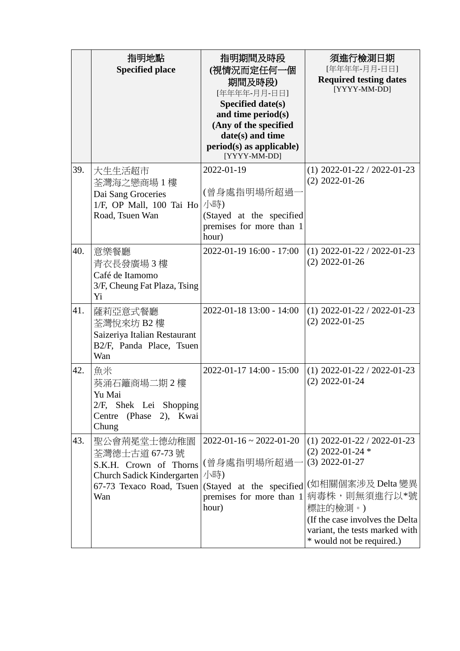|     | 指明地點<br><b>Specified place</b>                                                                                           | 指明期間及時段<br>(視情況而定任何一個<br>期間及時段)<br>[年年年年-月月-日日]<br>Specified date(s)<br>and time period(s)<br>(Any of the specified<br>date(s) and time<br>$period(s)$ as applicable)<br>[YYYY-MM-DD] | 須進行檢測日期<br>[年年年年-月月-日日]<br><b>Required testing dates</b><br>[YYYY-MM-DD]                                                                                                                                                     |
|-----|--------------------------------------------------------------------------------------------------------------------------|---------------------------------------------------------------------------------------------------------------------------------------------------------------------------------------|------------------------------------------------------------------------------------------------------------------------------------------------------------------------------------------------------------------------------|
| 39. | 大生生活超市<br>荃灣海之戀商場1樓<br>Dai Sang Groceries<br>1/F, OP Mall, 100 Tai Ho<br>Road, Tsuen Wan                                 | 2022-01-19<br>(曾身處指明場所超過<br>小時)<br>(Stayed at the specified<br>premises for more than 1<br>hour)                                                                                      | $(1)$ 2022-01-22 / 2022-01-23<br>$(2)$ 2022-01-26                                                                                                                                                                            |
| 40. | 意樂餐廳<br>青衣長發廣場3樓<br>Café de Itamomo<br>3/F, Cheung Fat Plaza, Tsing<br>Yi                                                | 2022-01-19 16:00 - 17:00                                                                                                                                                              | $(1)$ 2022-01-22 / 2022-01-23<br>$(2)$ 2022-01-26                                                                                                                                                                            |
| 41. | 薩莉亞意式餐廳<br>荃灣悅來坊 B2 樓<br>Saizeriya Italian Restaurant<br>B2/F, Panda Place, Tsuen<br>Wan                                 | 2022-01-18 13:00 - 14:00                                                                                                                                                              | $(1)$ 2022-01-22 / 2022-01-23<br>$(2)$ 2022-01-25                                                                                                                                                                            |
| 42. | 魚米<br>葵涌石籬商場二期2樓<br>Yu Mai<br>2/F, Shek Lei Shopping<br>(Phase 2), Kwai<br>Centre<br>Chung                               | 2022-01-17 14:00 - 15:00                                                                                                                                                              | $(1)$ 2022-01-22 / 2022-01-23<br>$(2)$ 2022-01-24                                                                                                                                                                            |
| 43. | 聖公會荊冕堂士德幼稚園<br>荃灣德士古道 67-73 號<br>S.K.H. Crown of Thorns<br>Church Sadick Kindergarten<br>67-73 Texaco Road, Tsuen<br>Wan | $2022 - 01 - 16 \approx 2022 - 01 - 20$<br>(曾身處指明場所超過-<br>小時)<br>(Stayed at the specified<br>premises for more than 1<br>hour)                                                        | $(1)$ 2022-01-22 / 2022-01-23<br>$(2)$ 2022-01-24 $*$<br>$(3)$ 2022-01-27<br>(如相關個案涉及 Delta 變異<br>病毒株,則無須進行以*號<br>標註的檢測。)<br>(If the case involves the Delta)<br>variant, the tests marked with<br>* would not be required.) |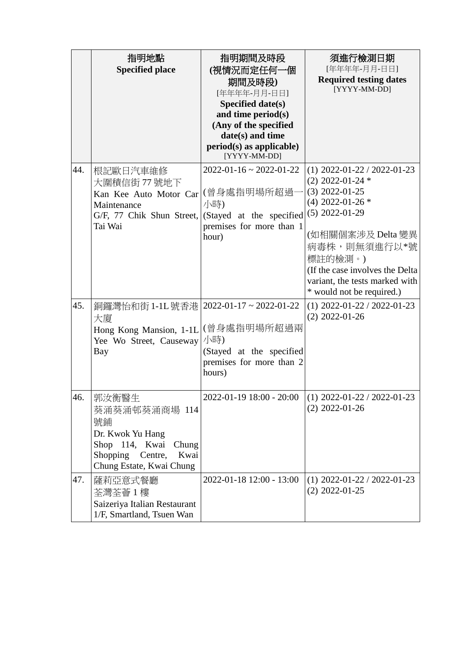|     | 指明地點<br><b>Specified place</b>                                                                                                                | 指明期間及時段<br>(視情況而定任何一個<br>期間及時段)<br>[年年年年-月月-日日]<br>Specified date(s)<br>and time period(s)<br>(Any of the specified<br>date(s) and time<br>$period(s)$ as applicable)<br>[YYYY-MM-DD] | 須進行檢測日期<br>[年年年年-月月-日日]<br><b>Required testing dates</b><br>[YYYY-MM-DD]                                                                                                                                                                                                |
|-----|-----------------------------------------------------------------------------------------------------------------------------------------------|---------------------------------------------------------------------------------------------------------------------------------------------------------------------------------------|-------------------------------------------------------------------------------------------------------------------------------------------------------------------------------------------------------------------------------------------------------------------------|
| 44. | 根記歐日汽車維修<br>大圍積信街 77號地下<br>Kan Kee Auto Motor Car<br>Maintenance<br>G/F, 77 Chik Shun Street,<br>Tai Wai                                      | $2022 - 01 - 16 \approx 2022 - 01 - 22$<br>(曾身處指明場所超過-<br>小時)<br>(Stayed at the specified<br>premises for more than 1<br>hour)                                                        | $(1)$ 2022-01-22 / 2022-01-23<br>$(2)$ 2022-01-24 $*$<br>$(3)$ 2022-01-25<br>$(4)$ 2022-01-26 $*$<br>$(5)$ 2022-01-29<br>(如相關個案涉及 Delta 變異<br>病毒株,則無須進行以*號<br>標註的檢測。)<br>(If the case involves the Delta<br>variant, the tests marked with<br>* would not be required.) |
| 45. | 銅鑼灣怡和街 1-1L 號香港   2022-01-17~2022-01-22<br>大廈<br>Hong Kong Mansion, 1-1L<br>Yee Wo Street, Causeway<br>Bay                                    | (曾身處指明場所超過兩<br>小時)<br>(Stayed at the specified<br>premises for more than 2<br>hours)                                                                                                  | $(1)$ 2022-01-22 / 2022-01-23<br>$(2)$ 2022-01-26                                                                                                                                                                                                                       |
| 46. | 郭汝衡醫生<br>葵涌葵涌邨葵涌商場 114<br>號鋪<br>Dr. Kwok Yu Hang<br>Shop 114, Kwai<br>Chung<br><b>Shopping</b><br>Kwai<br>Centre,<br>Chung Estate, Kwai Chung | 2022-01-19 18:00 - 20:00                                                                                                                                                              | $(1)$ 2022-01-22 / 2022-01-23<br>$(2)$ 2022-01-26                                                                                                                                                                                                                       |
| 47. | 薩莉亞意式餐廳<br>荃灣荃薈 1 樓<br>Saizeriya Italian Restaurant<br>1/F, Smartland, Tsuen Wan                                                              | 2022-01-18 12:00 - 13:00                                                                                                                                                              | $(1)$ 2022-01-22 / 2022-01-23<br>$(2)$ 2022-01-25                                                                                                                                                                                                                       |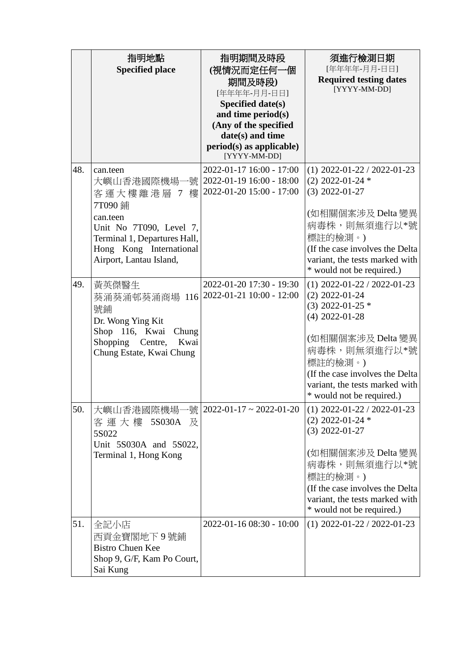|     | 指明地點                                                    | 指明期間及時段                                              | 須進行檢測日期                                                           |
|-----|---------------------------------------------------------|------------------------------------------------------|-------------------------------------------------------------------|
|     | <b>Specified place</b>                                  | (視情況而定任何一個                                           | [年年年年-月月-日日]<br><b>Required testing dates</b>                     |
|     |                                                         | 期間及時段)<br>[年年年年-月月-日日]                               | [YYYY-MM-DD]                                                      |
|     |                                                         | Specified date(s)                                    |                                                                   |
|     |                                                         | and time period(s)                                   |                                                                   |
|     |                                                         | (Any of the specified<br>date(s) and time            |                                                                   |
|     |                                                         | $period(s)$ as applicable)<br>[YYYY-MM-DD]           |                                                                   |
| 48. | can.teen                                                | 2022-01-17 16:00 - 17:00                             | $(1)$ 2022-01-22 / 2022-01-23                                     |
|     | 號<br>大嶼山香港國際機場-                                         | 2022-01-19 16:00 - 18:00                             | $(2)$ 2022-01-24 $*$                                              |
|     | 客運大樓離港層 7<br>樓<br>7T090 鋪                               | 2022-01-20 15:00 - 17:00                             | $(3)$ 2022-01-27                                                  |
|     | can.teen                                                |                                                      | (如相關個案涉及 Delta 變異                                                 |
|     | Unit No 7T090, Level 7,                                 |                                                      | 病毒株,則無須進行以*號                                                      |
|     | Terminal 1, Departures Hall,<br>Hong Kong International |                                                      | 標註的檢測。)<br>(If the case involves the Delta                        |
|     | Airport, Lantau Island,                                 |                                                      | variant, the tests marked with                                    |
|     |                                                         |                                                      | * would not be required.)                                         |
| 49. | 黃英傑醫生                                                   | 2022-01-20 17:30 - 19:30<br>2022-01-21 10:00 - 12:00 | $(1)$ 2022-01-22 / 2022-01-23<br>$(2)$ 2022-01-24                 |
|     | 葵涌葵涌邨葵涌商場 116<br>號鋪                                     |                                                      | $(3)$ 2022-01-25 $*$                                              |
|     | Dr. Wong Ying Kit                                       |                                                      | $(4)$ 2022-01-28                                                  |
|     | Shop 116, Kwai<br>Chung                                 |                                                      | (如相關個案涉及 Delta 變異                                                 |
|     | Shopping Centre,<br>Kwai<br>Chung Estate, Kwai Chung    |                                                      | 病毒株,則無須進行以*號                                                      |
|     |                                                         |                                                      | 標註的檢測。)                                                           |
|     |                                                         |                                                      | (If the case involves the Delta<br>variant, the tests marked with |
|     |                                                         |                                                      | * would not be required.)                                         |
| 50. | 大嶼山香港國際機場-                                              | -號   2022-01-17 ~ 2022-01-20                         | $(1)$ 2022-01-22 / 2022-01-23                                     |
|     | 客運大樓 5S030A<br>及                                        |                                                      | $(2)$ 2022-01-24 $*$<br>$(3)$ 2022-01-27                          |
|     | 5S022<br>Unit 5S030A and 5S022,                         |                                                      |                                                                   |
|     | Terminal 1, Hong Kong                                   |                                                      | (如相關個案涉及 Delta 變異                                                 |
|     |                                                         |                                                      | 病毒株,則無須進行以*號<br>標註的檢測。)                                           |
|     |                                                         |                                                      | (If the case involves the Delta)                                  |
|     |                                                         |                                                      | variant, the tests marked with                                    |
| 51. |                                                         | 2022-01-16 08:30 - 10:00                             | * would not be required.)<br>$(1)$ 2022-01-22 / 2022-01-23        |
|     | 全記小店<br>西貢金寶閣地下9號鋪                                      |                                                      |                                                                   |
|     | <b>Bistro Chuen Kee</b>                                 |                                                      |                                                                   |
|     | Shop 9, G/F, Kam Po Court,                              |                                                      |                                                                   |
|     | Sai Kung                                                |                                                      |                                                                   |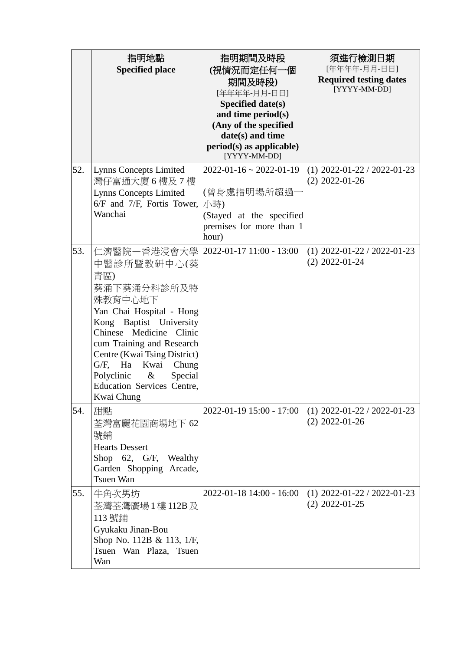|     | 指明地點<br><b>Specified place</b>                                                                                                                                                                                                                                                                                                | 指明期間及時段<br>(視情況而定任何一個<br>期間及時段)<br>[年年年年-月月-日日]<br>Specified date(s)<br>and time period(s)<br>(Any of the specified<br>date(s) and time<br>$period(s)$ as applicable)<br>[YYYY-MM-DD] | 須進行檢測日期<br>[年年年年-月月-日日]<br><b>Required testing dates</b><br>[YYYY-MM-DD] |
|-----|-------------------------------------------------------------------------------------------------------------------------------------------------------------------------------------------------------------------------------------------------------------------------------------------------------------------------------|---------------------------------------------------------------------------------------------------------------------------------------------------------------------------------------|--------------------------------------------------------------------------|
| 52. | <b>Lynns Concepts Limited</b><br>灣仔富通大廈6樓及7樓<br><b>Lynns Concepts Limited</b><br>$6/F$ and 7/F, Fortis Tower,<br>Wanchai                                                                                                                                                                                                      | $2022 - 01 - 16 \approx 2022 - 01 - 19$<br>(曾身處指明場所超過-<br>小時)<br>(Stayed at the specified<br>premises for more than 1<br>hour)                                                        | $(1)$ 2022-01-22 / 2022-01-23<br>$(2)$ 2022-01-26                        |
| 53. | 仁濟醫院一香港浸會大學<br>中醫診所暨教研中心(葵<br>青區)<br>葵涌下葵涌分科診所及特<br>殊教育中心地下<br>Yan Chai Hospital - Hong<br>Kong Baptist University<br>Chinese Medicine<br>Clinic<br>cum Training and Research<br>Centre (Kwai Tsing District)<br>G/F, Ha<br>Kwai<br>Chung<br>Polyclinic<br>$\&$<br>Special<br><b>Education Services Centre,</b><br>Kwai Chung | 2022-01-17 11:00 - 13:00                                                                                                                                                              | $(1)$ 2022-01-22 / 2022-01-23<br>$(2)$ 2022-01-24                        |
| 54. | 甜點<br>荃灣富麗花園商場地下 62<br>號鋪<br><b>Hearts Dessert</b><br>Shop 62, G/F, Wealthy<br>Garden Shopping Arcade,<br><b>Tsuen Wan</b>                                                                                                                                                                                                    | 2022-01-19 15:00 - 17:00                                                                                                                                                              | $(1)$ 2022-01-22 / 2022-01-23<br>$(2)$ 2022-01-26                        |
| 55. | 牛角次男坊<br>荃灣荃灣廣場 1 樓 112B 及<br>113 號鋪<br>Gyukaku Jinan-Bou<br>Shop No. 112B & 113, 1/F,<br>Tsuen Wan Plaza, Tsuen<br>Wan                                                                                                                                                                                                       | 2022-01-18 14:00 - 16:00                                                                                                                                                              | $(1)$ 2022-01-22 / 2022-01-23<br>$(2)$ 2022-01-25                        |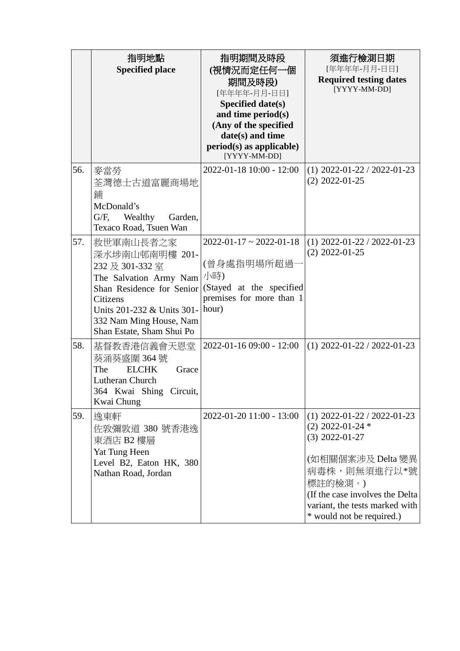|     | 指明地點<br><b>Specified place</b>                                                                                                                                                                          | 指明期間及時段<br>(視情況而定任何一個<br>期間及時段)<br>[年年年年-月月-日日]<br>Specified date(s)<br>and time period(s)<br>(Any of the specified<br>date(s) and time<br>$period(s)$ as applicable)<br>[YYYY-MM-DD] | 須進行檢測日期<br>[年年年年-月月-日日]<br><b>Required testing dates</b><br>[YYYY-MM-DD]                                                                                                                                                    |
|-----|---------------------------------------------------------------------------------------------------------------------------------------------------------------------------------------------------------|---------------------------------------------------------------------------------------------------------------------------------------------------------------------------------------|-----------------------------------------------------------------------------------------------------------------------------------------------------------------------------------------------------------------------------|
| 56. | 麥當勞<br>荃灣德士古道富麗商場地<br>鋪<br>McDonald's<br>$G/F$ ,<br>Wealthy<br>Garden,<br>Texaco Road, Tsuen Wan                                                                                                        | 2022-01-18 10:00 - 12:00                                                                                                                                                              | $(1)$ 2022-01-22 / 2022-01-23<br>$(2)$ 2022-01-25                                                                                                                                                                           |
| 57. | 救世軍南山長者之家<br>深水埗南山邨南明樓 201-<br>232 及 301-332 室<br>The Salvation Army Nam<br>Shan Residence for Senior<br>Citizens<br>Units 201-232 & Units 301-<br>332 Nam Ming House, Nam<br>Shan Estate, Sham Shui Po | $2022 - 01 - 17 \approx 2022 - 01 - 18$<br>(曾身處指明場所超過-<br>小時)<br>(Stayed at the specified<br>premises for more than 1<br>hour)                                                        | $(1)$ 2022-01-22 / 2022-01-23<br>$(2)$ 2022-01-25                                                                                                                                                                           |
| 58. | 基督教香港信義會天恩堂<br>葵涌葵盛圍 364號<br><b>ELCHK</b><br>The<br>Grace<br>Lutheran Church<br>364 Kwai Shing<br>Circuit,<br>Kwai Chung                                                                                | 2022-01-16 09:00 - 12:00                                                                                                                                                              | $(1)$ 2022-01-22 / 2022-01-23                                                                                                                                                                                               |
| 59. | 逸東軒<br>佐敦彌敦道 380 號香港逸<br>東酒店 B2 樓層<br>Yat Tung Heen<br>Level B2, Eaton HK, 380<br>Nathan Road, Jordan                                                                                                   | 2022-01-20 11:00 - 13:00                                                                                                                                                              | $(1)$ 2022-01-22 / 2022-01-23<br>$(2)$ 2022-01-24 $*$<br>$(3)$ 2022-01-27<br>(如相關個案涉及 Delta 變異<br>病毒株,則無須進行以*號<br>標註的檢測。)<br>(If the case involves the Delta<br>variant, the tests marked with<br>* would not be required.) |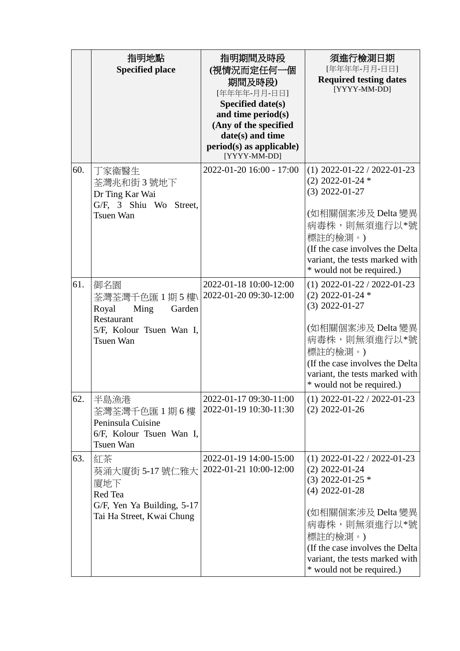|     | 指明地點<br><b>Specified place</b>                                                                               | 指明期間及時段<br>(視情況而定任何一個<br>期間及時段)<br>[年年年年-月月-日日]<br>Specified date(s)<br>and time period(s)<br>(Any of the specified<br>date(s) and time<br>$period(s)$ as applicable)<br>[YYYY-MM-DD] | 須進行檢測日期<br>[年年年年-月月-日日]<br><b>Required testing dates</b><br>[YYYY-MM-DD]                                                                                                                                                                        |
|-----|--------------------------------------------------------------------------------------------------------------|---------------------------------------------------------------------------------------------------------------------------------------------------------------------------------------|-------------------------------------------------------------------------------------------------------------------------------------------------------------------------------------------------------------------------------------------------|
| 60. | 丁家衞醫生<br>荃灣兆和街 3 號地下<br>Dr Ting Kar Wai<br>G/F, 3 Shiu Wo Street,<br><b>Tsuen Wan</b>                        | 2022-01-20 16:00 - 17:00                                                                                                                                                              | $(1)$ 2022-01-22 / 2022-01-23<br>$(2)$ 2022-01-24 $*$<br>$(3)$ 2022-01-27<br>(如相關個案涉及 Delta 變異<br>病毒株,則無須進行以*號<br>標註的檢測。)<br>(If the case involves the Delta<br>variant, the tests marked with<br>* would not be required.)                     |
| 61. | 御名園<br>荃灣荃灣千色匯1期5樓\<br>Royal<br>Ming<br>Garden<br>Restaurant<br>5/F, Kolour Tsuen Wan I,<br><b>Tsuen Wan</b> | 2022-01-18 10:00-12:00<br>2022-01-20 09:30-12:00                                                                                                                                      | $(1)$ 2022-01-22 / 2022-01-23<br>$(2)$ 2022-01-24 $*$<br>$(3)$ 2022-01-27<br>(如相關個案涉及 Delta 變異<br>病毒株,則無須進行以*號<br>標註的檢測。)<br>(If the case involves the Delta<br>variant, the tests marked with<br>* would not be required.)                     |
| 62. | 半島漁港<br>荃灣荃灣千色匯1期6樓<br>Peninsula Cuisine<br>6/F, Kolour Tsuen Wan I,<br>Tsuen Wan                            | 2022-01-17 09:30-11:00<br>2022-01-19 10:30-11:30                                                                                                                                      | $(1)$ 2022-01-22 / 2022-01-23<br>$(2)$ 2022-01-26                                                                                                                                                                                               |
| 63. | 紅茶<br>葵涌大廈街 5-17號仁雅大<br>廈地下<br>Red Tea<br>G/F, Yen Ya Building, 5-17<br>Tai Ha Street, Kwai Chung            | 2022-01-19 14:00-15:00<br>2022-01-21 10:00-12:00                                                                                                                                      | $(1)$ 2022-01-22 / 2022-01-23<br>$(2)$ 2022-01-24<br>$(3)$ 2022-01-25 $*$<br>$(4)$ 2022-01-28<br>(如相關個案涉及 Delta 變異<br>病毒株,則無須進行以*號<br>標註的檢測。)<br>(If the case involves the Delta<br>variant, the tests marked with<br>* would not be required.) |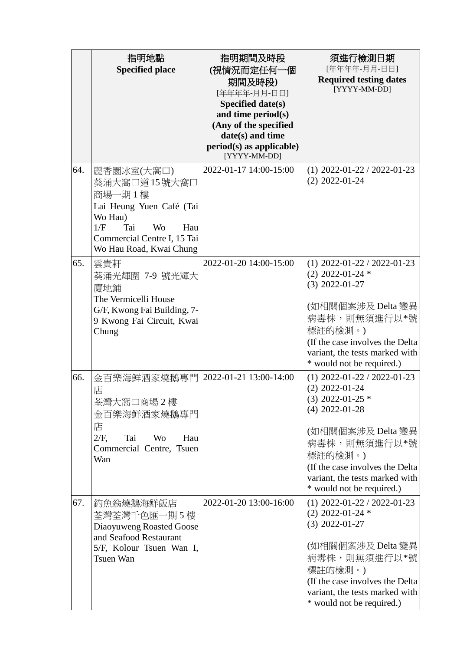|     | 指明地點<br><b>Specified place</b>                                                                                                                                          | 指明期間及時段<br>(視情況而定任何一個<br>期間及時段)<br>[年年年年-月月-日日]<br>Specified date(s)<br>and time period(s)<br>(Any of the specified<br>date(s) and time<br>$period(s)$ as applicable)<br>[YYYY-MM-DD] | 須進行檢測日期<br>[年年年年-月月-日日]<br><b>Required testing dates</b><br>[YYYY-MM-DD]                                                                                                                                                                        |
|-----|-------------------------------------------------------------------------------------------------------------------------------------------------------------------------|---------------------------------------------------------------------------------------------------------------------------------------------------------------------------------------|-------------------------------------------------------------------------------------------------------------------------------------------------------------------------------------------------------------------------------------------------|
| 64. | 麗香園冰室(大窩口)<br>葵涌大窩口道15號大窩口<br>商場一期1樓<br>Lai Heung Yuen Café (Tai<br>Wo Hau)<br>1/F<br>Tai<br><b>Wo</b><br>Hau<br>Commercial Centre I, 15 Tai<br>Wo Hau Road, Kwai Chung | 2022-01-17 14:00-15:00                                                                                                                                                                | $(1)$ 2022-01-22 / 2022-01-23<br>$(2)$ 2022-01-24                                                                                                                                                                                               |
| 65. | 雲貴軒<br>葵涌光輝圍 7-9 號光輝大<br>廈地鋪<br>The Vermicelli House<br>G/F, Kwong Fai Building, 7-<br>9 Kwong Fai Circuit, Kwai<br>Chung                                               | 2022-01-20 14:00-15:00                                                                                                                                                                | $(1)$ 2022-01-22 / 2022-01-23<br>$(2)$ 2022-01-24 $*$<br>$(3)$ 2022-01-27<br>(如相關個案涉及 Delta 變異<br>病毒株,則無須進行以*號<br>標註的檢測。)<br>(If the case involves the Delta<br>variant, the tests marked with<br>* would not be required.)                     |
| 66. | 金百樂海鮮酒家燒鵝專門<br>店<br>荃灣大窩口商場 2 樓<br>金百樂海鮮酒家燒鵝專門<br>店<br>$2/F$ ,<br>Tai<br><b>Wo</b><br>Hau<br>Commercial Centre, Tsuen<br>Wan                                            | 2022-01-21 13:00-14:00                                                                                                                                                                | $(1)$ 2022-01-22 / 2022-01-23<br>$(2)$ 2022-01-24<br>$(3)$ 2022-01-25 $*$<br>$(4)$ 2022-01-28<br>(如相關個案涉及 Delta 變異<br>病毒株,則無須進行以*號<br>標註的檢測。)<br>(If the case involves the Delta<br>variant, the tests marked with<br>* would not be required.) |
| 67. | 釣魚翁燒鵝海鮮飯店<br>荃灣荃灣千色匯一期 5 樓<br>Diaoyuweng Roasted Goose<br>and Seafood Restaurant<br>5/F, Kolour Tsuen Wan I,<br>Tsuen Wan                                               | 2022-01-20 13:00-16:00                                                                                                                                                                | $(1)$ 2022-01-22 / 2022-01-23<br>$(2)$ 2022-01-24 $*$<br>$(3)$ 2022-01-27<br>(如相關個案涉及 Delta 變異<br>病毒株,則無須進行以*號<br>標註的檢測。)<br>(If the case involves the Delta)<br>variant, the tests marked with<br>* would not be required.)                    |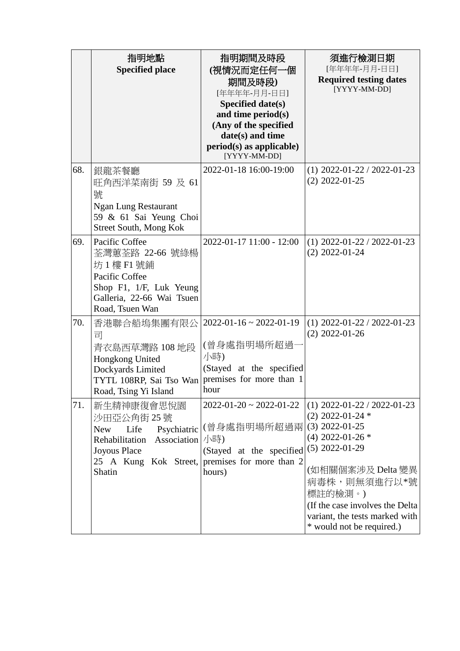|     | 指明地點<br><b>Specified place</b>                                                                                                                     | 指明期間及時段<br>(視情況而定任何一個<br>期間及時段)<br>[年年年年-月月-日日]<br>Specified date(s)<br>and time period(s)<br>(Any of the specified<br>date(s) and time<br>$period(s)$ as applicable)<br>[YYYY-MM-DD] | 須進行檢測日期<br>[年年年年-月月-日日]<br><b>Required testing dates</b><br>[YYYY-MM-DD]                                                                                                                                                                                                |
|-----|----------------------------------------------------------------------------------------------------------------------------------------------------|---------------------------------------------------------------------------------------------------------------------------------------------------------------------------------------|-------------------------------------------------------------------------------------------------------------------------------------------------------------------------------------------------------------------------------------------------------------------------|
| 68. | 銀龍茶餐廳<br>旺角西洋菜南街 59 及 61<br>號<br><b>Ngan Lung Restaurant</b><br>59 & 61 Sai Yeung Choi<br>Street South, Mong Kok                                   | 2022-01-18 16:00-19:00                                                                                                                                                                | $(1)$ 2022-01-22 / 2022-01-23<br>$(2)$ 2022-01-25                                                                                                                                                                                                                       |
| 69. | Pacific Coffee<br>荃灣蕙荃路 22-66 號綠楊<br>坊 1 樓 F1 號鋪<br>Pacific Coffee<br>Shop F1, 1/F, Luk Yeung<br>Galleria, 22-66 Wai Tsuen<br>Road, Tsuen Wan      | 2022-01-17 11:00 - 12:00                                                                                                                                                              | $(1)$ 2022-01-22 / 2022-01-23<br>$(2)$ 2022-01-24                                                                                                                                                                                                                       |
| 70. | 香港聯合船塢集團有限公<br>司<br>青衣島西草灣路 108 地段<br>Hongkong United<br>Dockyards Limited<br>TYTL 108RP, Sai Tso Wan<br>Road, Tsing Yi Island                     | $2022 - 01 - 16 \approx 2022 - 01 - 19$<br>(曾身處指明場所超過<br>小時)<br>(Stayed at the specified<br>premises for more than 1<br>hour                                                          | $(1)$ 2022-01-22 / 2022-01-23<br>$(2)$ 2022-01-26                                                                                                                                                                                                                       |
| 71. | 新生精神康復會思悅園<br>沙田亞公角街 25 號<br><b>New</b><br>Life<br>Psychiatric<br>Association<br>Rehabilitation<br>Joyous Place<br>25 A Kung Kok Street,<br>Shatin | $2022 - 01 - 20 \approx 2022 - 01 - 22$<br>(曾身處指明場所超過兩<br>小時)<br>(Stayed at the specified<br>premises for more than 2<br>hours)                                                       | $(1)$ 2022-01-22 / 2022-01-23<br>$(2)$ 2022-01-24 $*$<br>$(3)$ 2022-01-25<br>$(4)$ 2022-01-26 $*$<br>$(5)$ 2022-01-29<br>(如相關個案涉及 Delta 變異<br>病毒株,則無須進行以*號<br>標註的檢測。)<br>(If the case involves the Delta<br>variant, the tests marked with<br>* would not be required.) |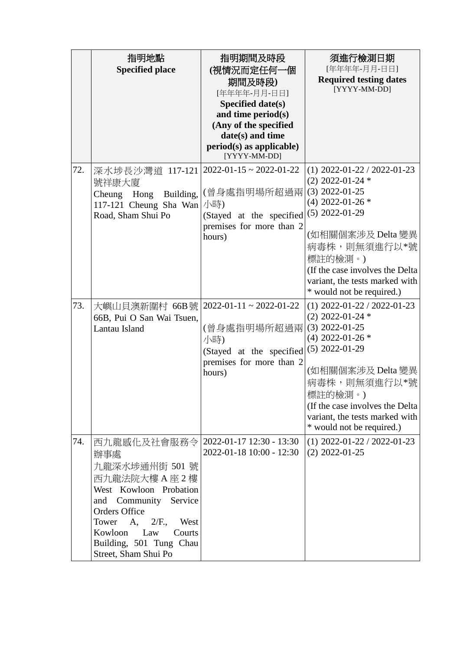|     | 指明地點<br><b>Specified place</b>                                                                                                                                                                                                                    | 指明期間及時段<br>(視情況而定任何一個<br>期間及時段)<br>[年年年年-月月-日日]<br>Specified date(s)<br>and time period(s)<br>(Any of the specified<br>date(s) and time<br>$period(s)$ as applicable)<br>[YYYY-MM-DD] | 須進行檢測日期<br>[年年年年-月月-日日]<br><b>Required testing dates</b><br>[YYYY-MM-DD]                                                                                                                                                                                                 |
|-----|---------------------------------------------------------------------------------------------------------------------------------------------------------------------------------------------------------------------------------------------------|---------------------------------------------------------------------------------------------------------------------------------------------------------------------------------------|--------------------------------------------------------------------------------------------------------------------------------------------------------------------------------------------------------------------------------------------------------------------------|
| 72. | 深水埗長沙灣道 117-121<br>號祥康大廈<br>Cheung Hong<br>Building,<br>117-121 Cheung Sha Wan<br>Road, Sham Shui Po                                                                                                                                              | $2022 - 01 - 15 \approx 2022 - 01 - 22$<br>(曾身處指明場所超過兩<br>小時)<br>(Stayed at the specified<br>premises for more than 2<br>hours)                                                       | $(1)$ 2022-01-22 / 2022-01-23<br>$(2)$ 2022-01-24 $*$<br>$(3)$ 2022-01-25<br>$(4)$ 2022-01-26 $*$<br>$(5)$ 2022-01-29<br>(如相關個案涉及 Delta 變異<br>病毒株,則無須進行以*號<br>標註的檢測。)<br>(If the case involves the Delta)<br>variant, the tests marked with<br>* would not be required.) |
| 73. | 大嶼山貝澳新圍村 66B號   2022-01-11~2022-01-22<br>66B, Pui O San Wai Tsuen,<br>Lantau Island                                                                                                                                                               | (曾身處指明場所超過兩<br>小時)<br>(Stayed at the specified<br>premises for more than 2<br>hours)                                                                                                  | $(1)$ 2022-01-22 / 2022-01-23<br>$(2)$ 2022-01-24 $*$<br>$(3)$ 2022-01-25<br>$(4)$ 2022-01-26 $*$<br>$(5)$ 2022-01-29<br>(如相關個案涉及 Delta 變異<br>病毒株,則無須進行以*號<br>標註的檢測。)<br>(If the case involves the Delta)<br>variant, the tests marked with<br>* would not be required.) |
| 74. | 西九龍感化及社會服務令<br>辦事處<br>九龍深水埗通州街 501 號<br>西九龍法院大樓 A 座 2 樓<br>West Kowloon Probation<br>Community Service<br>and<br><b>Orders Office</b><br>$2/F$ ., West<br>Tower A,<br>Kowloon<br>Law<br>Courts<br>Building, 501 Tung Chau<br>Street, Sham Shui Po | 2022-01-17 12:30 - 13:30<br>2022-01-18 10:00 - 12:30                                                                                                                                  | $(1)$ 2022-01-22 / 2022-01-23<br>$(2)$ 2022-01-25                                                                                                                                                                                                                        |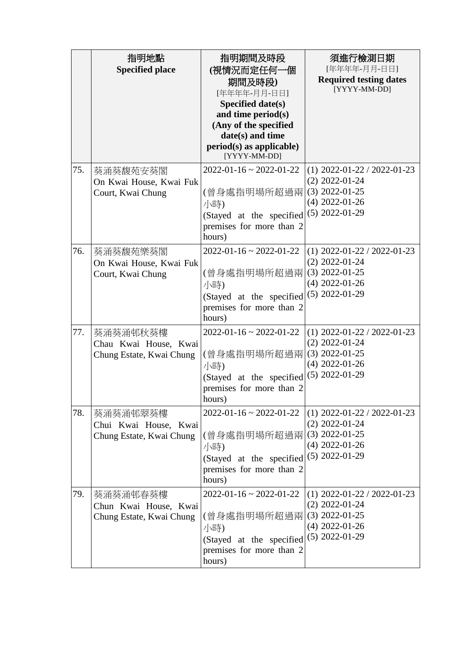|     | 指明地點<br><b>Specified place</b>                                | 指明期間及時段<br>(視情況而定任何一個<br>期間及時段)<br>[年年年年-月月-日日]<br>Specified date(s)<br>and time period(s)<br>(Any of the specified<br>date(s) and time<br>$period(s)$ as applicable)<br>[YYYY-MM-DD] | 須進行檢測日期<br>[年年年年-月月-日日]<br><b>Required testing dates</b><br>[YYYY-MM-DD]                                      |
|-----|---------------------------------------------------------------|---------------------------------------------------------------------------------------------------------------------------------------------------------------------------------------|---------------------------------------------------------------------------------------------------------------|
| 75. | 葵涌葵馥苑安葵閣<br>On Kwai House, Kwai Fuk<br>Court, Kwai Chung      | $2022 - 01 - 16 \approx 2022 - 01 - 22$<br>(曾身處指明場所超過兩<br>小時)<br>(Stayed at the specified<br>premises for more than 2<br>hours)                                                       | $(1)$ 2022-01-22 / 2022-01-23<br>$(2)$ 2022-01-24<br>$(3)$ 2022-01-25<br>$(4)$ 2022-01-26<br>$(5)$ 2022-01-29 |
| 76. | 葵涌葵馥苑樂葵閣<br>On Kwai House, Kwai Fuk<br>Court, Kwai Chung      | $2022 - 01 - 16 \approx 2022 - 01 - 22$<br>(曾身處指明場所超過兩<br>小時)<br>(Stayed at the specified<br>premises for more than 2<br>hours)                                                       | $(1)$ 2022-01-22 / 2022-01-23<br>$(2)$ 2022-01-24<br>$(3)$ 2022-01-25<br>$(4)$ 2022-01-26<br>$(5)$ 2022-01-29 |
| 77. | 葵涌葵涌邨秋葵樓<br>Chau Kwai House, Kwai<br>Chung Estate, Kwai Chung | $2022 - 01 - 16 \approx 2022 - 01 - 22$<br>(曾身處指明場所超過兩<br>小時)<br>(Stayed at the specified<br>premises for more than 2<br>hours)                                                       | $(1)$ 2022-01-22 / 2022-01-23<br>$(2)$ 2022-01-24<br>$(3)$ 2022-01-25<br>$(4)$ 2022-01-26<br>$(5)$ 2022-01-29 |
| 78. | 葵涌葵涌邨翠葵樓<br>Chui Kwai House, Kwai<br>Chung Estate, Kwai Chung | $2022 - 01 - 16 \approx 2022 - 01 - 22$<br>(曾身處指明場所超過兩<br>小時)<br>(Stayed at the specified<br>premises for more than 2<br>hours)                                                       | $(1)$ 2022-01-22 / 2022-01-23<br>$(2)$ 2022-01-24<br>$(3)$ 2022-01-25<br>$(4)$ 2022-01-26<br>$(5)$ 2022-01-29 |
| 79. | 葵涌葵涌邨春葵樓<br>Chun Kwai House, Kwai<br>Chung Estate, Kwai Chung | $2022 - 01 - 16 \approx 2022 - 01 - 22$<br>(曾身處指明場所超過兩<br>小時)<br>(Stayed at the specified<br>premises for more than 2<br>hours)                                                       | $(1)$ 2022-01-22 / 2022-01-23<br>$(2)$ 2022-01-24<br>$(3)$ 2022-01-25<br>$(4)$ 2022-01-26<br>$(5)$ 2022-01-29 |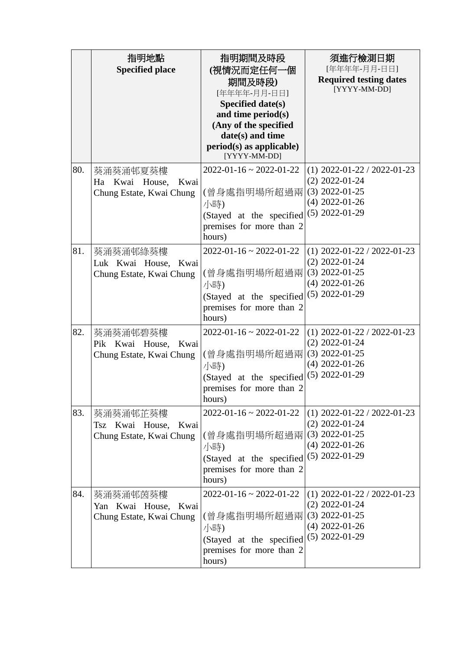|     | 指明地點<br><b>Specified place</b>                                  | 指明期間及時段<br>(視情況而定任何一個<br>期間及時段)<br>[年年年年-月月-日日]<br><b>Specified date(s)</b><br>and time period(s)<br>(Any of the specified<br>date(s) and time<br>$period(s)$ as applicable)<br>[YYYY-MM-DD] | 須進行檢測日期<br>[年年年年-月月-日日]<br><b>Required testing dates</b><br>[YYYY-MM-DD]                                      |
|-----|-----------------------------------------------------------------|----------------------------------------------------------------------------------------------------------------------------------------------------------------------------------------------|---------------------------------------------------------------------------------------------------------------|
| 80. | 葵涌葵涌邨夏葵樓<br>Ha Kwai House, Kwai<br>Chung Estate, Kwai Chung     | $2022 - 01 - 16 \approx 2022 - 01 - 22$<br>(曾身處指明場所超過兩<br>小時)<br>(Stayed at the specified<br>premises for more than 2<br>hours)                                                              | $(1)$ 2022-01-22 / 2022-01-23<br>$(2)$ 2022-01-24<br>$(3)$ 2022-01-25<br>$(4)$ 2022-01-26<br>$(5)$ 2022-01-29 |
| 81. | 葵涌葵涌邨綠葵樓<br>Luk Kwai House, Kwai<br>Chung Estate, Kwai Chung    | $2022 - 01 - 16 \approx 2022 - 01 - 22$<br>(曾身處指明場所超過兩<br>小時)<br>(Stayed at the specified<br>premises for more than 2<br>hours)                                                              | $(1)$ 2022-01-22 / 2022-01-23<br>$(2)$ 2022-01-24<br>$(3)$ 2022-01-25<br>$(4)$ 2022-01-26<br>$(5)$ 2022-01-29 |
| 82. | 葵涌葵涌邨碧葵樓<br>Pik Kwai House, Kwai<br>Chung Estate, Kwai Chung    | $2022 - 01 - 16 \approx 2022 - 01 - 22$<br>(曾身處指明場所超過兩<br>小時)<br>(Stayed at the specified<br>premises for more than 2<br>hours)                                                              | $(1)$ 2022-01-22 / 2022-01-23<br>$(2)$ 2022-01-24<br>$(3)$ 2022-01-25<br>$(4)$ 2022-01-26<br>$(5)$ 2022-01-29 |
| 83. | 葵涌葵涌邨芷葵樓<br>Tsz Kwai House,<br>Kwai<br>Chung Estate, Kwai Chung | $2022 - 01 - 16 \approx 2022 - 01 - 22$<br>(曾身處指明場所超過兩<br>小時)<br>(Stayed at the specified<br>premises for more than 2<br>hours)                                                              | $(1)$ 2022-01-22 / 2022-01-23<br>$(2)$ 2022-01-24<br>$(3)$ 2022-01-25<br>$(4)$ 2022-01-26<br>$(5)$ 2022-01-29 |
| 84. | 葵涌葵涌邨茵葵樓<br>Yan Kwai House, Kwai<br>Chung Estate, Kwai Chung    | $2022 - 01 - 16 \approx 2022 - 01 - 22$<br>(曾身處指明場所超過兩<br>小時)<br>(Stayed at the specified<br>premises for more than 2<br>hours)                                                              | $(1)$ 2022-01-22 / 2022-01-23<br>$(2)$ 2022-01-24<br>$(3)$ 2022-01-25<br>$(4)$ 2022-01-26<br>$(5)$ 2022-01-29 |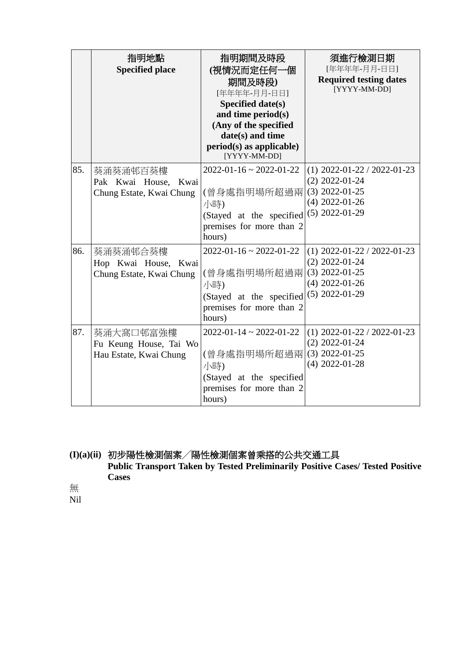|     | 指明地點<br><b>Specified place</b>                                | 指明期間及時段<br>(視情況而定任何一個<br>期間及時段)<br>[年年年年-月月-日日]<br>Specified date(s)<br>and time period(s)<br>(Any of the specified<br>date(s) and time<br>$period(s)$ as applicable)<br>[YYYY-MM-DD] | 須進行檢測日期<br>[年年年年-月月-日日]<br><b>Required testing dates</b><br>[YYYY-MM-DD]                                      |
|-----|---------------------------------------------------------------|---------------------------------------------------------------------------------------------------------------------------------------------------------------------------------------|---------------------------------------------------------------------------------------------------------------|
| 85. | 葵涌葵涌邨百葵樓<br>Pak Kwai House, Kwai<br>Chung Estate, Kwai Chung  | $2022 - 01 - 16 \approx 2022 - 01 - 22$<br>(曾身處指明場所超過兩<br>小時)<br>(Stayed at the specified<br>premises for more than 2<br>hours)                                                       | $(1)$ 2022-01-22 / 2022-01-23<br>$(2)$ 2022-01-24<br>$(3)$ 2022-01-25<br>$(4)$ 2022-01-26<br>$(5)$ 2022-01-29 |
| 86. | 葵涌葵涌邨合葵樓<br>Hop Kwai House, Kwai<br>Chung Estate, Kwai Chung  | $2022 - 01 - 16 \approx 2022 - 01 - 22$<br>(曾身處指明場所超過兩<br>小時)<br>(Stayed at the specified<br>premises for more than 2<br>hours)                                                       | $(1)$ 2022-01-22 / 2022-01-23<br>$(2)$ 2022-01-24<br>$(3)$ 2022-01-25<br>$(4)$ 2022-01-26<br>$(5)$ 2022-01-29 |
| 87. | 葵涌大窩口邨富強樓<br>Fu Keung House, Tai Wo<br>Hau Estate, Kwai Chung | $2022 - 01 - 14 \approx 2022 - 01 - 22$<br>(曾身處指明場所超過兩<br>小時)<br>(Stayed at the specified<br>premises for more than 2<br>hours)                                                       | $(1)$ 2022-01-22 / 2022-01-23<br>$(2)$ 2022-01-24<br>$(3)$ 2022-01-25<br>$(4)$ 2022-01-28                     |

**(I)(a)(ii)** 初步陽性檢測個案╱陽性檢測個案曾乘搭的公共交通工具 **Public Transport Taken by Tested Preliminarily Positive Cases/ Tested Positive Cases**

無

Nil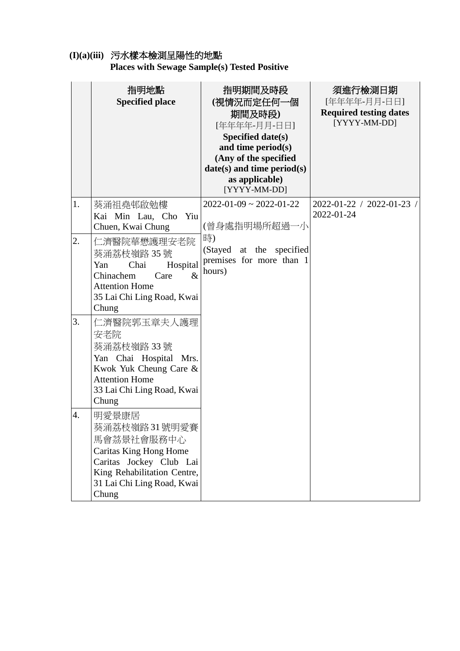# **(I)(a)(iii)** 污水樣本檢測呈陽性的地點

**Places with Sewage Sample(s) Tested Positive** 

|    | 指明地點<br><b>Specified place</b>                                                                                                                                 | 指明期間及時段<br>(視情況而定任何一個<br>期間及時段)<br>[年年年年-月月-日日]<br><b>Specified date(s)</b><br>and time period(s)<br>(Any of the specified<br>date(s) and time period(s)<br>as applicable)<br>[YYYY-MM-DD] | 須進行檢測日期<br>[年年年年-月月-日日]<br><b>Required testing dates</b><br>[YYYY-MM-DD] |
|----|----------------------------------------------------------------------------------------------------------------------------------------------------------------|--------------------------------------------------------------------------------------------------------------------------------------------------------------------------------------------|--------------------------------------------------------------------------|
| 1. | 葵涌祖堯邨啟勉樓<br>Kai Min Lau, Cho<br>Yiu<br>Chuen, Kwai Chung                                                                                                       | $2022 - 01 - 09 \approx 2022 - 01 - 22$<br>(曾身處指明場所超過一小                                                                                                                                    | 2022-01-22 / 2022-01-23 /<br>2022-01-24                                  |
| 2. | 仁濟醫院華懋護理安老院<br>葵涌荔枝嶺路 35號<br>Chai<br>Yan<br>Hospital<br>$\&$<br>Chinachem<br>Care<br><b>Attention Home</b><br>35 Lai Chi Ling Road, Kwai<br>Chung              | 時)<br>(Stayed at the specified<br>premises for more than 1<br>hours)                                                                                                                       |                                                                          |
| 3. | 仁濟醫院郭玉章夫人護理<br>安老院<br>葵涌荔枝嶺路 33號<br>Yan Chai Hospital Mrs.<br>Kwok Yuk Cheung Care &<br><b>Attention Home</b><br>33 Lai Chi Ling Road, Kwai<br>Chung           |                                                                                                                                                                                            |                                                                          |
| 4. | 明愛景康居<br>葵涌荔枝嶺路31號明愛賽<br>馬會茘景社會服務中心<br>Caritas King Hong Home<br>Caritas Jockey Club Lai<br>King Rehabilitation Centre,<br>31 Lai Chi Ling Road, Kwai<br>Chung |                                                                                                                                                                                            |                                                                          |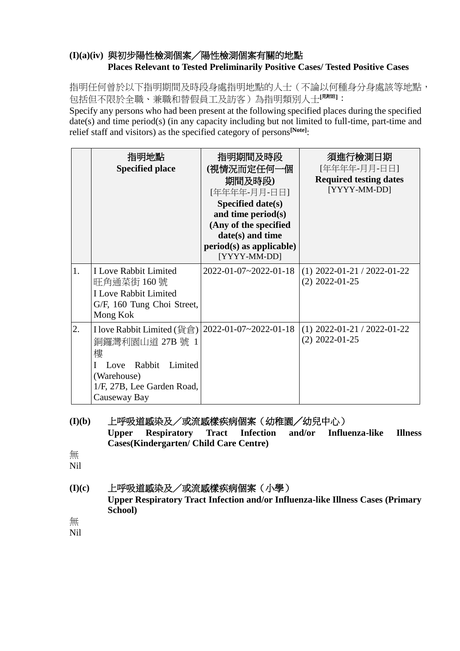## **(I)(a)(iv)** 與初步陽性檢測個案╱陽性檢測個案有關的地點 **Places Relevant to Tested Preliminarily Positive Cases/ Tested Positive Cases**

指明任何曾於以下指明期間及時段身處指明地點的人士(不論以何種身分身處該等地點, 包括但不限於全職、兼職和替假員工及訪客)為指明類別人士**[**見附註**]**:

Specify any persons who had been present at the following specified places during the specified date(s) and time period(s) (in any capacity including but not limited to full-time, part-time and relief staff and visitors) as the specified category of persons**[Note]**:

|    | 指明地點<br><b>Specified place</b>                                                                                                                                    | 指明期間及時段<br>(視情況而定任何一個<br>期間及時段)<br>[年年年年-月月-日日]<br>Specified date(s)<br>and time period $(s)$<br>(Any of the specified<br>date(s) and time<br>$period(s)$ as applicable)<br>[YYYY-MM-DD] | 須進行檢測日期<br>[年年年年-月月-日日]<br><b>Required testing dates</b><br>[YYYY-MM-DD] |
|----|-------------------------------------------------------------------------------------------------------------------------------------------------------------------|------------------------------------------------------------------------------------------------------------------------------------------------------------------------------------------|--------------------------------------------------------------------------|
| 1. | <b>I Love Rabbit Limited</b><br>旺角通菜街 160 號<br><b>I Love Rabbit Limited</b><br>G/F, 160 Tung Choi Street,<br>Mong Kok                                             | 2022-01-07~2022-01-18                                                                                                                                                                    | $(1)$ 2022-01-21 / 2022-01-22<br>$(2)$ 2022-01-25                        |
| 2. | I love Rabbit Limited (貨倉)   2022-01-07~2022-01-18<br>銅鑼灣利園山道 27B 號 1<br>樓<br>Rabbit Limited<br>Love<br>(Warehouse)<br>1/F, 27B, Lee Garden Road,<br>Causeway Bay |                                                                                                                                                                                          | $(1)$ 2022-01-21 / 2022-01-22<br>$(2)$ 2022-01-25                        |

**(I)(b)** 上呼吸道感染及/或流感樣疾病個案(幼稚園╱幼兒中心) **Upper Respiratory Tract Infection and/or Influenza-like Illness Cases(Kindergarten/ Child Care Centre)** 無 Nil

**(I)(c)** 上呼吸道感染及/或流感樣疾病個案(小學) **Upper Respiratory Tract Infection and/or Influenza-like Illness Cases (Primary School)** 無

Nil